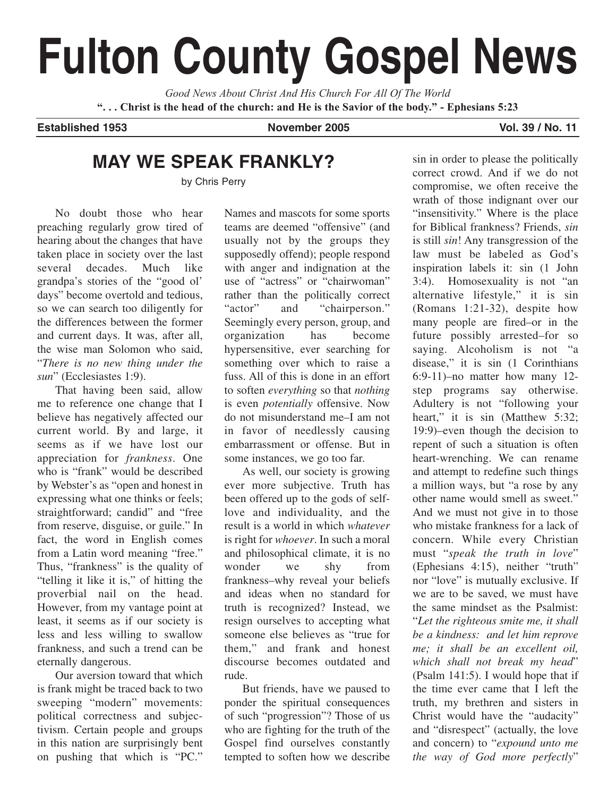# **Fulton County Gospel News**

*Good News About Christ And His Church For All Of The World* **". . . Christ is the head of the church: and He is the Savior of the body." - Ephesians 5:23**

**Established 1953 November 2005 Vol. 39 / No. 11**

## **MAY WE SPEAK FRANKLY?**

by Chris Perry

No doubt those who hear preaching regularly grow tired of hearing about the changes that have taken place in society over the last several decades. Much like grandpa's stories of the "good ol' days" become overtold and tedious, so we can search too diligently for the differences between the former and current days. It was, after all, the wise man Solomon who said, "*There is no new thing under the sun*" (Ecclesiastes 1:9).

That having been said, allow me to reference one change that I believe has negatively affected our current world. By and large, it seems as if we have lost our appreciation for *frankness*. One who is "frank" would be described by Webster's as "open and honest in expressing what one thinks or feels; straightforward; candid" and "free from reserve, disguise, or guile." In fact, the word in English comes from a Latin word meaning "free." Thus, "frankness" is the quality of "telling it like it is," of hitting the proverbial nail on the head. However, from my vantage point at least, it seems as if our society is less and less willing to swallow frankness, and such a trend can be eternally dangerous.

Our aversion toward that which is frank might be traced back to two sweeping "modern" movements: political correctness and subjectivism. Certain people and groups in this nation are surprisingly bent on pushing that which is "PC."

Names and mascots for some sports teams are deemed "offensive" (and usually not by the groups they supposedly offend); people respond with anger and indignation at the use of "actress" or "chairwoman" rather than the politically correct "actor" and "chairperson." Seemingly every person, group, and organization has become hypersensitive, ever searching for something over which to raise a fuss. All of this is done in an effort to soften *everything* so that *nothing* is even *potentially* offensive. Now do not misunderstand me–I am not in favor of needlessly causing embarrassment or offense. But in some instances, we go too far.

As well, our society is growing ever more subjective. Truth has been offered up to the gods of selflove and individuality, and the result is a world in which *whatever* is right for *whoever*. In such a moral and philosophical climate, it is no wonder we shy from frankness–why reveal your beliefs and ideas when no standard for truth is recognized? Instead, we resign ourselves to accepting what someone else believes as "true for them," and frank and honest discourse becomes outdated and rude.

But friends, have we paused to ponder the spiritual consequences of such "progression"? Those of us who are fighting for the truth of the Gospel find ourselves constantly tempted to soften how we describe

sin in order to please the politically correct crowd. And if we do not compromise, we often receive the wrath of those indignant over our "insensitivity." Where is the place for Biblical frankness? Friends, *sin* is still *sin*! Any transgression of the law must be labeled as God's inspiration labels it: sin (1 John 3:4). Homosexuality is not "an alternative lifestyle," it is sin (Romans 1:21-32), despite how many people are fired–or in the future possibly arrested–for so saying. Alcoholism is not "a disease," it is sin (1 Corinthians 6:9-11)–no matter how many 12 step programs say otherwise. Adultery is not "following your heart," it is sin (Matthew 5:32; 19:9)–even though the decision to repent of such a situation is often heart-wrenching. We can rename and attempt to redefine such things a million ways, but "a rose by any other name would smell as sweet." And we must not give in to those who mistake frankness for a lack of concern. While every Christian must "*speak the truth in love*" (Ephesians 4:15), neither "truth" nor "love" is mutually exclusive. If we are to be saved, we must have the same mindset as the Psalmist: "*Let the righteous smite me, it shall be a kindness: and let him reprove me; it shall be an excellent oil, which shall not break my head*" (Psalm 141:5). I would hope that if the time ever came that I left the truth, my brethren and sisters in Christ would have the "audacity" and "disrespect" (actually, the love and concern) to "*expound unto me the way of God more perfectly*"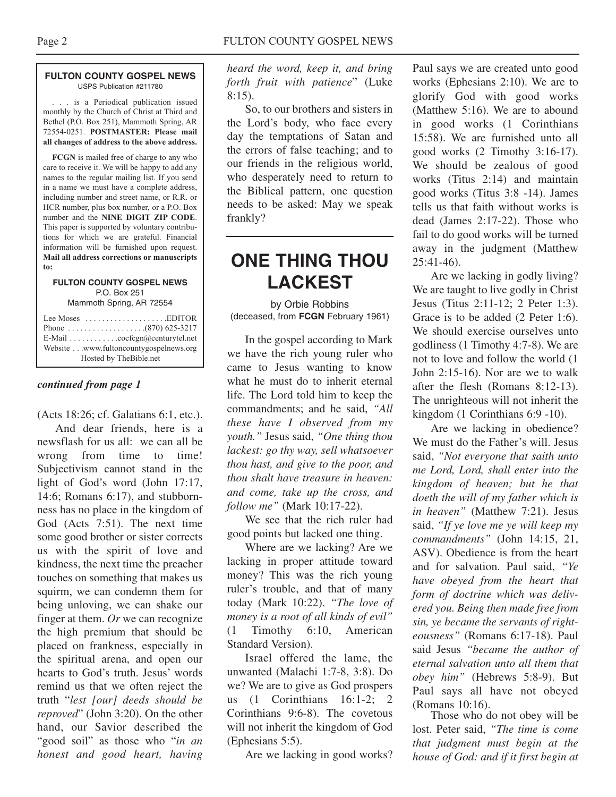#### **FULTON COUNTY GOSPEL NEWS** USPS Publication #211780

. . . is a Periodical publication issued monthly by the Church of Christ at Third and Bethel (P.O. Box 251), Mammoth Spring, AR 72554-0251. **POSTMASTER: Please mail all changes of address to the above address.**

**FCGN** is mailed free of charge to any who care to receive it. We will be happy to add any names to the regular mailing list. If you send in a name we must have a complete address, including number and street name, or R.R. or HCR number, plus box number, or a P.O. Box number and the **NINE DIGIT ZIP CODE**. This paper is supported by voluntary contributions for which we are grateful. Financial information will be furnished upon request. **Mail all address corrections or manuscripts to:**

#### **FULTON COUNTY GOSPEL NEWS** P.O. Box 251

Mammoth Spring, AR 72554

| Lee Moses $\dots\dots\dots\dots\dots\dots$ . EDITOR<br>E-Mail cocfcgn@centurytel.net<br>Website www.fultoncountygospelnews.org |
|--------------------------------------------------------------------------------------------------------------------------------|
| Hosted by TheBible.net                                                                                                         |

#### *continued from page 1*

(Acts 18:26; cf. Galatians 6:1, etc.). And dear friends, here is a newsflash for us all: we can all be wrong from time to time! Subjectivism cannot stand in the light of God's word (John 17:17, 14:6; Romans 6:17), and stubbornness has no place in the kingdom of God (Acts 7:51). The next time some good brother or sister corrects us with the spirit of love and kindness, the next time the preacher touches on something that makes us squirm, we can condemn them for being unloving, we can shake our finger at them. *Or* we can recognize the high premium that should be placed on frankness, especially in the spiritual arena, and open our hearts to God's truth. Jesus' words remind us that we often reject the truth "*lest [our] deeds should be reproved*" (John 3:20). On the other hand, our Savior described the "good soil" as those who "*in an honest and good heart, having*

*heard the word, keep it, and bring forth fruit with patience*" (Luke 8:15).

So, to our brothers and sisters in the Lord's body, who face every day the temptations of Satan and the errors of false teaching; and to our friends in the religious world, who desperately need to return to the Biblical pattern, one question needs to be asked: May we speak frankly?

## **ONE THING THOU LACKEST**

by Orbie Robbins (deceased, from **FCGN** February 1961)

In the gospel according to Mark we have the rich young ruler who came to Jesus wanting to know what he must do to inherit eternal life. The Lord told him to keep the commandments; and he said, *"All these have I observed from my youth."* Jesus said, *"One thing thou lackest: go thy way, sell whatsoever thou hast, and give to the poor, and thou shalt have treasure in heaven: and come, take up the cross, and follow me"* (Mark 10:17-22).

We see that the rich ruler had good points but lacked one thing.

Where are we lacking? Are we lacking in proper attitude toward money? This was the rich young ruler's trouble, and that of many today (Mark 10:22). *"The love of money is a root of all kinds of evil"* (1 Timothy 6:10, American Standard Version).

Israel offered the lame, the unwanted (Malachi 1:7-8, 3:8). Do we? We are to give as God prospers us (1 Corinthians 16:1-2; 2 Corinthians 9:6-8). The covetous will not inherit the kingdom of God (Ephesians 5:5).

Are we lacking in good works?

Paul says we are created unto good works (Ephesians 2:10). We are to glorify God with good works (Matthew 5:16). We are to abound in good works (1 Corinthians 15:58). We are furnished unto all good works (2 Timothy 3:16-17). We should be zealous of good works (Titus 2:14) and maintain good works (Titus 3:8 -14). James tells us that faith without works is dead (James 2:17-22). Those who fail to do good works will be turned away in the judgment (Matthew  $25:41-46$ .

Are we lacking in godly living? We are taught to live godly in Christ Jesus (Titus 2:11-12; 2 Peter 1:3). Grace is to be added (2 Peter 1:6). We should exercise ourselves unto godliness (1 Timothy 4:7-8). We are not to love and follow the world (1 John 2:15-16). Nor are we to walk after the flesh (Romans 8:12-13). The unrighteous will not inherit the kingdom (1 Corinthians 6:9 -10).

Are we lacking in obedience? We must do the Father's will. Jesus said, *"Not everyone that saith unto me Lord, Lord, shall enter into the kingdom of heaven; but he that doeth the will of my father which is in heaven"* (Matthew 7:21). Jesus said, *"If ye love me ye will keep my commandments"* (John 14:15, 21, ASV). Obedience is from the heart and for salvation. Paul said, *"Ye have obeyed from the heart that form of doctrine which was delivered you. Being then made free from sin, ye became the servants of righteousness"* (Romans 6:17-18). Paul said Jesus *"became the author of eternal salvation unto all them that obey him"* (Hebrews 5:8-9). But Paul says all have not obeyed (Romans 10:16).

Those who do not obey will be lost. Peter said, *"The time is come that judgment must begin at the house of God: and if it first begin at*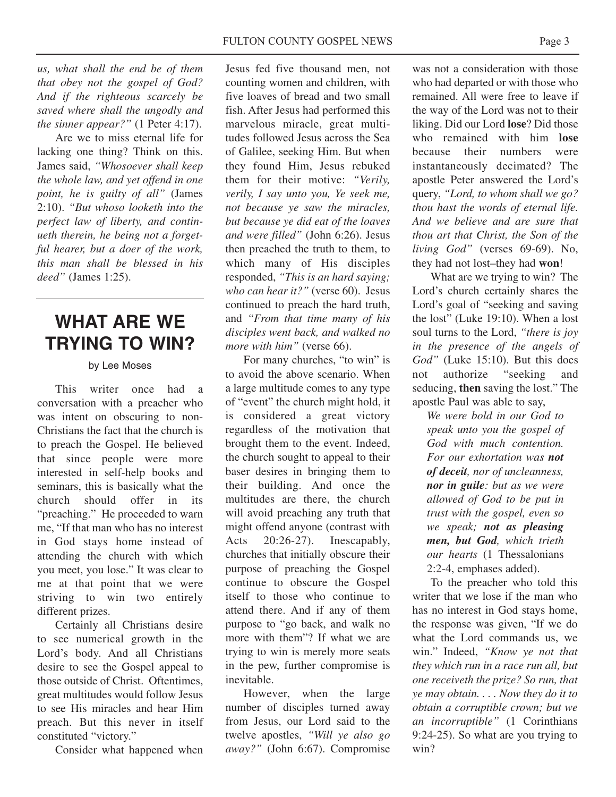*us, what shall the end be of them that obey not the gospel of God? And if the righteous scarcely be saved where shall the ungodly and the sinner appear?"* (1 Peter 4:17).

Are we to miss eternal life for lacking one thing? Think on this. James said, *"Whosoever shall keep the whole law, and yet offend in one point, he is guilty of all"* (James 2:10). *"But whoso looketh into the perfect law of liberty, and continueth therein, he being not a forgetful hearer, but a doer of the work, this man shall be blessed in his deed"* (James 1:25).

## **WHAT ARE WE TRYING TO WIN?**

#### by Lee Moses

This writer once had a conversation with a preacher who was intent on obscuring to non-Christians the fact that the church is to preach the Gospel. He believed that since people were more interested in self-help books and seminars, this is basically what the church should offer in its "preaching." He proceeded to warn me, "If that man who has no interest in God stays home instead of attending the church with which you meet, you lose." It was clear to me at that point that we were striving to win two entirely different prizes.

Certainly all Christians desire to see numerical growth in the Lord's body. And all Christians desire to see the Gospel appeal to those outside of Christ. Oftentimes, great multitudes would follow Jesus to see His miracles and hear Him preach. But this never in itself constituted "victory."

Consider what happened when

Jesus fed five thousand men, not counting women and children, with five loaves of bread and two small fish. After Jesus had performed this marvelous miracle, great multitudes followed Jesus across the Sea of Galilee, seeking Him. But when they found Him, Jesus rebuked them for their motive: *"Verily, verily, I say unto you, Ye seek me, not because ye saw the miracles, but because ye did eat of the loaves and were filled"* (John 6:26). Jesus then preached the truth to them, to which many of His disciples responded, *"This is an hard saying; who can hear it?"* (verse 60). Jesus continued to preach the hard truth, and *"From that time many of his disciples went back, and walked no more with him"* (verse 66).

For many churches, "to win" is to avoid the above scenario. When a large multitude comes to any type of "event" the church might hold, it is considered a great victory regardless of the motivation that brought them to the event. Indeed, the church sought to appeal to their baser desires in bringing them to their building. And once the multitudes are there, the church will avoid preaching any truth that might offend anyone (contrast with Acts 20:26-27). Inescapably, churches that initially obscure their purpose of preaching the Gospel continue to obscure the Gospel itself to those who continue to attend there. And if any of them purpose to "go back, and walk no more with them"? If what we are trying to win is merely more seats in the pew, further compromise is inevitable.

However, when the large number of disciples turned away from Jesus, our Lord said to the twelve apostles, *"Will ye also go away?"* (John 6:67). Compromise

was not a consideration with those who had departed or with those who remained. All were free to leave if the way of the Lord was not to their liking. Did our Lord **lose**? Did those who remained with him **lose** because their numbers were instantaneously decimated? The apostle Peter answered the Lord's query, *"Lord, to whom shall we go? thou hast the words of eternal life. And we believe and are sure that thou art that Christ, the Son of the living God"* (verses 69-69). No, they had not lost–they had **won**!

What are we trying to win? The Lord's church certainly shares the Lord's goal of "seeking and saving the lost" (Luke 19:10). When a lost soul turns to the Lord, *"there is joy in the presence of the angels of God"* (Luke 15:10). But this does not authorize "seeking and seducing, **then** saving the lost." The apostle Paul was able to say,

*We were bold in our God to speak unto you the gospel of God with much contention. For our exhortation was not of deceit, nor of uncleanness, nor in guile: but as we were allowed of God to be put in trust with the gospel, even so we speak; not as pleasing men, but God, which trieth our hearts* (1 Thessalonians 2:2-4, emphases added).

To the preacher who told this writer that we lose if the man who has no interest in God stays home, the response was given, "If we do what the Lord commands us, we win." Indeed, *"Know ye not that they which run in a race run all, but one receiveth the prize? So run, that ye may obtain. . . . Now they do it to obtain a corruptible crown; but we an incorruptible"* (1 Corinthians 9:24-25). So what are you trying to win?